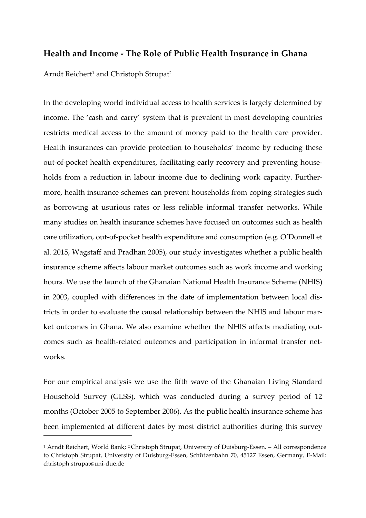## **Health and Income - The Role of Public Health Insurance in Ghana**

Arndt Reichert<sup>1</sup> and Christoph Strupat<sup>2</sup>

1

In the developing world individual access to health services is largely determined by income. The 'cash and carry´ system that is prevalent in most developing countries restricts medical access to the amount of money paid to the health care provider. Health insurances can provide protection to households' income by reducing these out-of-pocket health expenditures, facilitating early recovery and preventing households from a reduction in labour income due to declining work capacity. Furthermore, health insurance schemes can prevent households from coping strategies such as borrowing at usurious rates or less reliable informal transfer networks. While many studies on health insurance schemes have focused on outcomes such as health care utilization, out-of-pocket health expenditure and consumption (e.g. O'Donnell et al. 2015, Wagstaff and Pradhan 2005), our study investigates whether a public health insurance scheme affects labour market outcomes such as work income and working hours. We use the launch of the Ghanaian National Health Insurance Scheme (NHIS) in 2003, coupled with differences in the date of implementation between local districts in order to evaluate the causal relationship between the NHIS and labour market outcomes in Ghana. We also examine whether the NHIS affects mediating outcomes such as health-related outcomes and participation in informal transfer networks.

For our empirical analysis we use the fifth wave of the Ghanaian Living Standard Household Survey (GLSS), which was conducted during a survey period of 12 months (October 2005 to September 2006). As the public health insurance scheme has been implemented at different dates by most district authorities during this survey

<sup>&</sup>lt;sup>1</sup> Arndt Reichert, World Bank; <sup>2</sup> Christoph Strupat, University of Duisburg-Essen. - All correspondence to Christoph Strupat, University of Duisburg-Essen, Schützenbahn 70, 45127 Essen, Germany, E-Mail: christoph.strupat@uni-due.de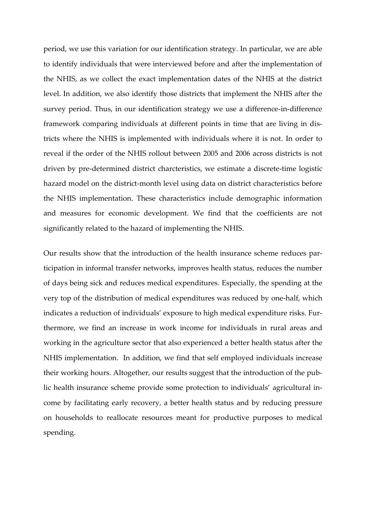period, we use this variation for our identification strategy. In particular, we are able to identify individuals that were interviewed before and after the implementation of the NHIS, as we collect the exact implementation dates of the NHIS at the district level. In addition, we also identify those districts that implement the NHIS after the survey period. Thus, in our identification strategy we use a difference-in-difference framework comparing individuals at different points in time that are living in districts where the NHIS is implemented with individuals where it is not. In order to reveal if the order of the NHIS rollout between 2005 and 2006 across districts is not driven by pre-determined district charcteristics, we estimate a discrete-time logistic hazard model on the district-month level using data on district characteristics before the NHIS implementation. These characteristics include demographic information and measures for economic development. We find that the coefficients are not significantly related to the hazard of implementing the NHIS.

Our results show that the introduction of the health insurance scheme reduces participation in informal transfer networks, improves health status, reduces the number of days being sick and reduces medical expenditures. Especially, the spending at the very top of the distribution of medical expenditures was reduced by one-half, which indicates a reduction of individuals' exposure to high medical expenditure risks. Furthermore, we find an increase in work income for individuals in rural areas and working in the agriculture sector that also experienced a better health status after the NHIS implementation. In addition, we find that self employed individuals increase their working hours. Altogether, our results suggest that the introduction of the public health insurance scheme provide some protection to individuals' agricultural income by facilitating early recovery, a better health status and by reducing pressure on households to reallocate resources meant for productive purposes to medical spending.